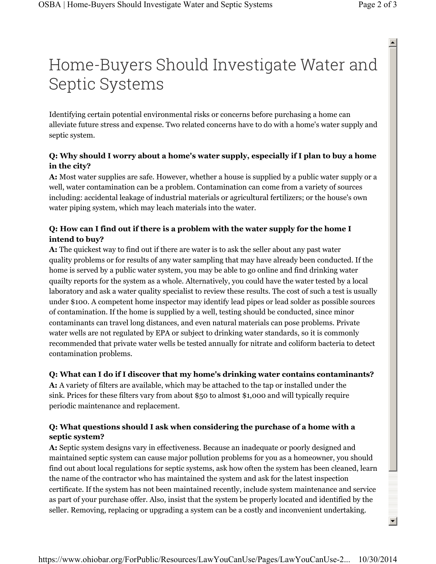# Home-Buyers Should Investigate Water and Septic Systems

Identifying certain potential environmental risks or concerns before purchasing a home can alleviate future stress and expense. Two related concerns have to do with a home's water supply and septic system.

## **Q: Why should I worry about a home's water supply, especially if I plan to buy a home in the city?**

**A:** Most water supplies are safe. However, whether a house is supplied by a public water supply or a well, water contamination can be a problem. Contamination can come from a variety of sources including: accidental leakage of industrial materials or agricultural fertilizers; or the house's own water piping system, which may leach materials into the water.

# **Q: How can I find out if there is a problem with the water supply for the home I intend to buy?**

**A:** The quickest way to find out if there are water is to ask the seller about any past water quality problems or for results of any water sampling that may have already been conducted. If the home is served by a public water system, you may be able to go online and find drinking water quailty reports for the system as a whole. Alternatively, you could have the water tested by a local laboratory and ask a water quality specialist to review these results. The cost of such a test is usually under \$100. A competent home inspector may identify lead pipes or lead solder as possible sources of contamination. If the home is supplied by a well, testing should be conducted, since minor contaminants can travel long distances, and even natural materials can pose problems. Private water wells are not regulated by EPA or subject to drinking water standards, so it is commonly recommended that private water wells be tested annually for nitrate and coliform bacteria to detect contamination problems.

#### **Q: What can I do if I discover that my home's drinking water contains contaminants?**

**A:** A variety of filters are available, which may be attached to the tap or installed under the sink. Prices for these filters vary from about \$50 to almost \$1,000 and will typically require periodic maintenance and replacement.

## **Q: What questions should I ask when considering the purchase of a home with a septic system?**

**A:** Septic system designs vary in effectiveness. Because an inadequate or poorly designed and maintained septic system can cause major pollution problems for you as a homeowner, you should find out about local regulations for septic systems, ask how often the system has been cleaned, learn the name of the contractor who has maintained the system and ask for the latest inspection certificate. If the system has not been maintained recently, include system maintenance and service as part of your purchase offer. Also, insist that the system be properly located and identified by the seller. Removing, replacing or upgrading a system can be a costly and inconvenient undertaking.

 $\blacktriangle$